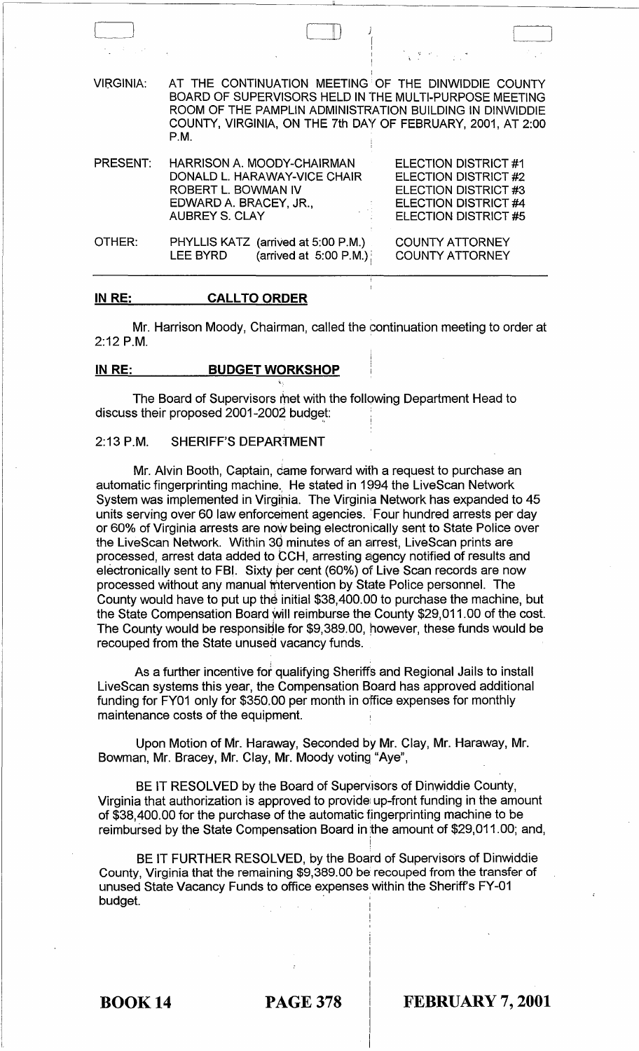| and the state of |                                                                                                                                                                                                                                                  | $\mathcal{L}_{\mathcal{A}}$ , where $\mathcal{L}_{\mathcal{A}}$ and $\mathcal{L}_{\mathcal{A}}$                                           |  |
|------------------|--------------------------------------------------------------------------------------------------------------------------------------------------------------------------------------------------------------------------------------------------|-------------------------------------------------------------------------------------------------------------------------------------------|--|
| <b>VIRGINIA:</b> | AT THE CONTINUATION MEETING OF THE DINWIDDIE COUNTY<br>BOARD OF SUPERVISORS HELD IN THE MULTI-PURPOSE MEETING<br>ROOM OF THE PAMPLIN ADMINISTRATION BUILDING IN DINWIDDIE<br>COUNTY, VIRGINIA, ON THE 7th DAY OF FEBRUARY, 2001, AT 2:00<br>P.M. |                                                                                                                                           |  |
| PRESENT:         | HARRISON A. MOODY-CHAIRMAN<br>DONALD L. HARAWAY-VICE CHAIR<br>ROBERT L. BOWMAN IV<br>EDWARD A. BRACEY, JR.,<br><b>AUBREY S. CLAY</b>                                                                                                             | ELECTION DISTRICT #1<br><b>ELECTION DISTRICT #2</b><br><b>ELECTION DISTRICT #3</b><br><b>ELECTION DISTRICT #4</b><br>ELECTION DISTRICT #5 |  |
| OTHER:           | PHYLLIS KATZ (arrived at 5:00 P.M.)<br>(arrived at $5:00$ P.M.)<br><b>LEE BYRD</b>                                                                                                                                                               | <b>COUNTY ATTORNEY</b><br><b>COUNTY ATTORNEY</b>                                                                                          |  |

#### **IN RE: CALL TO ORDER**

Mr. Harrison Moody, Chairman, called the continuation meeting to order at 2:12 P.M.

#### **IN RE: BUDGET WORKSHOP**

The Board of Supervisors met with the follqwing Department Head to discuss their proposed  $2001-2002$  budget:

## 2:13 P.M. SHERIFF'S DEPARTMENT

Mr. Alvin Booth, Captain, came forward with a request to purchase an automatic fingerprinting machine. He stated in 1994 the LiveScan Network System was implemented in Virginia. The Virginia Network has expanded to 45 units serving over 60 law enforcement agencies. 'Four hundred arrests per day or 60% of Virginia arrests are now being electronically sent to State Police over the LiveScan Network. Within 30 minutes of an arrest, LiveScan prints are processed, arrest data added to CCH, arresting agency notified of results and electronically sent to FBI. Sixty per cent (60%) of Live Scan records are now processed without any manual intervention by State Police personnel. The County would have to put up the initial \$38,400.00 to purchase the machine, but the State Compensation Board will reimburse the County \$29,011.00 of the cost. The County would be responsible for \$9,389.00, however, these funds would be recouped from the State unused vacancy funds.

As a further incentive for qualifying Sheriffs and Regional Jails to install LiveScan systems this year, the Compensation Board has approved additional funding for FY01 only for \$350.00 per month in office expenses for monthly maintenance costs of the equipment.

Upon Motion of Mr. Haraway, Seconded by Mr. Clay, Mr. Haraway, Mr. Bowman, Mr. Bracey, Mr. Clay, Mr. Moody voting "Aye",

BE IT RESOLVED by the Board of Supervisors of Dinwiddie County, Virginia that authorization is approved to provide up-front funding in the amount of \$38,400.00 for the purchase of the automatic fingerprinting machine to be reimbursed by the State Compensation Board in the amount of \$29,011.00; and,

!

BE IT FURTHER RESOLVED, by the Board of Supervisors of Dinwiddie County, Virginia that the remaining \$9,389.00 be recouped from the transfer of unused State Vacancy Funds to office expenses within the Sheriff's FY-01 budget. .

BOOK 14 PAGE 378 **FEBRUARY 7, 2001**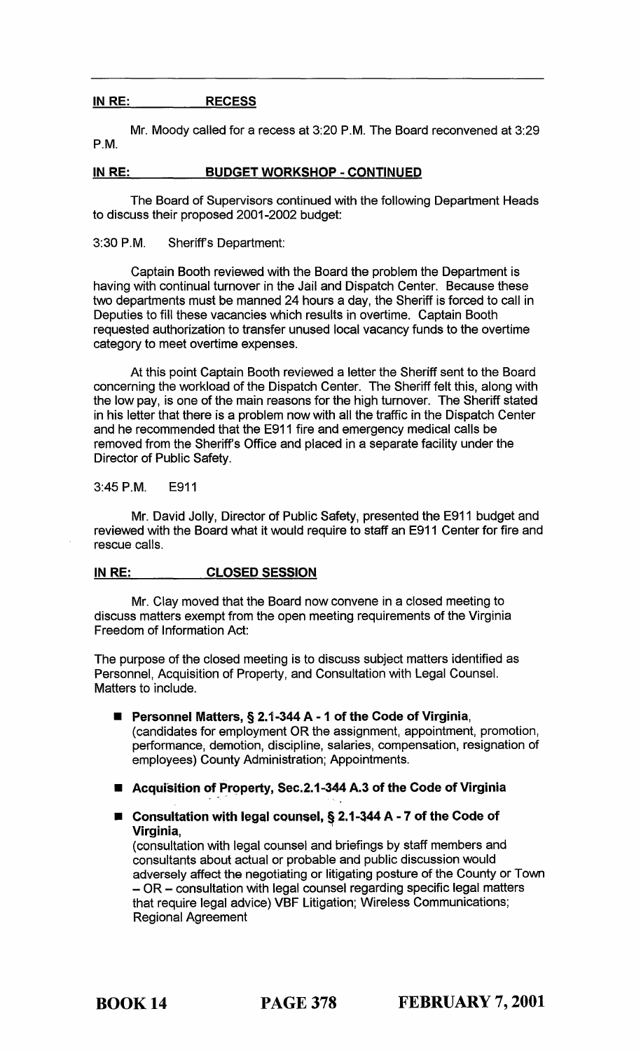## IN RE: RECESS

Mr. Moody called for a recess at 3:20 P.M. The Board reconvened at 3:29 P.M.

## IN RE: BUDGET WORKSHOP - CONTINUED

The Board of Supervisors continued with the following Department Heads to discuss their proposed 2001·2002 budget:

3:30 P.M. Sheriffs Department:

Captain Booth reviewed with the Board the problem the Department is having with continual turnover in the Jail and Dispatch Center. Because these two departments must be manned 24 hours a day, the Sheriff is forced to call in Deputies to fill these vacancies which results in overtime. Captain Booth requested authorization to transfer unused local vacancy funds to the overtime category to meet overtime expenses.

At this point Captain Booth reviewed a letter the Sheriff sent to the Board concerning the workload of the Dispatch Center. The Sheriff felt this, along with the low pay, is one of the main reasons for the high turnover. The Sheriff stated in his letter that there is a problem now with all the traffic in the Dispatch Center and he recommended that the E911 fire and emergency medical calls be removed from the Sheriff's Office and placed in a separate facility under the Director of Public Safety.

#### 3:45 P.M. E911

Mr. David Jolly, Director of Public Safety, presented the E911 budget and reviewed with the Board what it would require to staff an E911 Center for fire and rescue calls.

## IN RE: CLOSED SESSION

Mr. Clay moved that the Board now convene in a closed meeting to discuss matters exempt from the open meeting requirements of the Virginia Freedom of Information Act:

The purpose of the closed meeting is to discuss subject matters identified as Personnel, Acquisition of Property, and Consultation with Legal Counsel. Matters to include.

- Personnel Matters, § 2.1-344 A 1 of the Code of Virginia, (candidates for employment OR the assignment, appointment, promotion, performance, demotion, discipline, salaries, compensation, resignation of employees) County Administration; Appointments.
- Acquisition of Property, Sec.2.1-344 A.3 of the Code of Virginia
- $\blacksquare$  Consultation with legal counsel, § 2.1-344 A 7 of the Code of Virginia,

(consultation with legal counsel and briefings by staff members and consultants about actual or probable and public discussion would adversely affect the negotiating or litigating posture of the County or Town - OR - consultation with legal counsel regarding specific legal matters that require legal advice) VBF Litigation; Wireless Communications; Regional Agreement